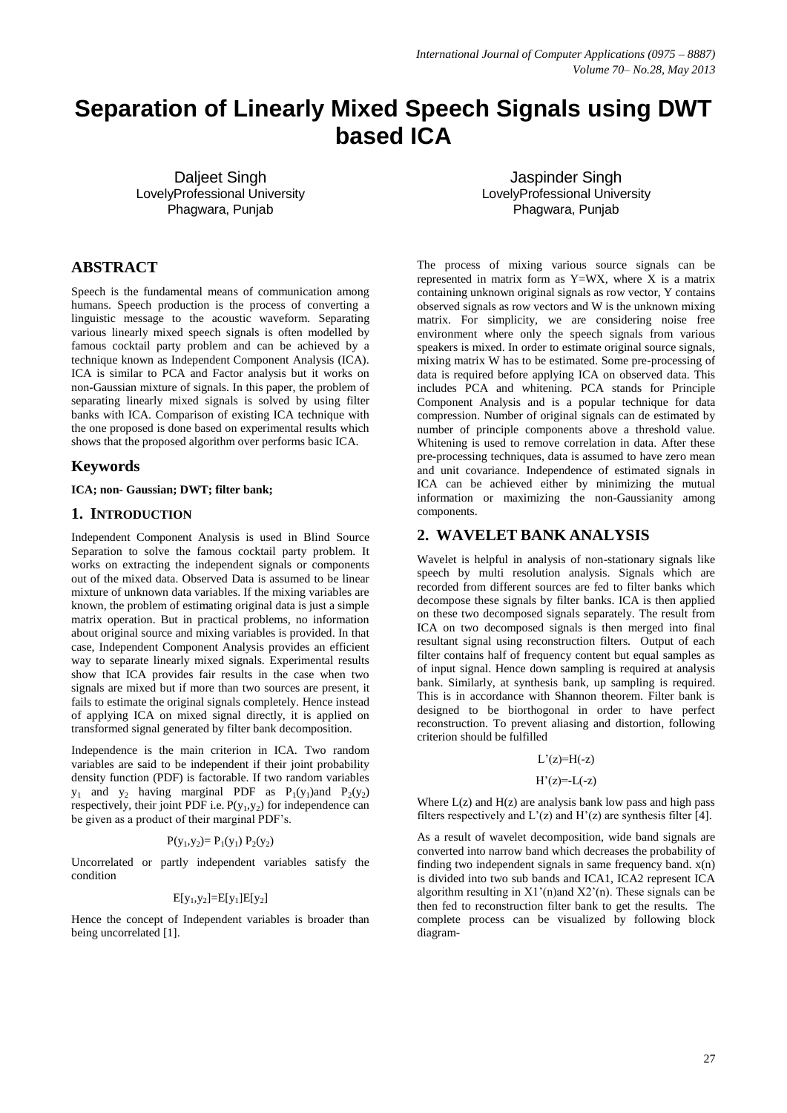# **Separation of Linearly Mixed Speech Signals using DWT based ICA**

Dalieet Singh LovelyProfessional University Phagwara, Punjab

# **ABSTRACT**

Speech is the fundamental means of communication among humans. Speech production is the process of converting a linguistic message to the acoustic waveform. Separating various linearly mixed speech signals is often modelled by famous cocktail party problem and can be achieved by a technique known as Independent Component Analysis (ICA). ICA is similar to PCA and Factor analysis but it works on non-Gaussian mixture of signals. In this paper, the problem of separating linearly mixed signals is solved by using filter banks with ICA. Comparison of existing ICA technique with the one proposed is done based on experimental results which shows that the proposed algorithm over performs basic ICA.

# **Keywords**

#### **ICA; non- Gaussian; DWT; filter bank;**

### **1. INTRODUCTION**

Independent Component Analysis is used in Blind Source Separation to solve the famous cocktail party problem. It works on extracting the independent signals or components out of the mixed data. Observed Data is assumed to be linear mixture of unknown data variables. If the mixing variables are known, the problem of estimating original data is just a simple matrix operation. But in practical problems, no information about original source and mixing variables is provided. In that case, Independent Component Analysis provides an efficient way to separate linearly mixed signals. Experimental results show that ICA provides fair results in the case when two signals are mixed but if more than two sources are present, it fails to estimate the original signals completely. Hence instead of applying ICA on mixed signal directly, it is applied on transformed signal generated by filter bank decomposition.

Independence is the main criterion in ICA. Two random variables are said to be independent if their joint probability density function (PDF) is factorable. If two random variables  $y_1$  and  $y_2$  having marginal PDF as  $P_1(y_1)$  and  $P_2(y_2)$ respectively, their joint PDF i.e.  $P(y_1, y_2)$  for independence can be given as a product of their marginal PDF's.

$$
P(y_1, y_2) = P_1(y_1) P_2(y_2)
$$

Uncorrelated or partly independent variables satisfy the condition

$$
E[y_1,y_2]{=}E[y_1]E[y_2]
$$

Hence the concept of Independent variables is broader than being uncorrelated [1].

Jaspinder Singh LovelyProfessional University Phagwara, Punjab

The process of mixing various source signals can be represented in matrix form as  $Y=WX$ , where X is a matrix containing unknown original signals as row vector, Y contains observed signals as row vectors and W is the unknown mixing matrix. For simplicity, we are considering noise free environment where only the speech signals from various speakers is mixed. In order to estimate original source signals, mixing matrix W has to be estimated. Some pre-processing of data is required before applying ICA on observed data. This includes PCA and whitening. PCA stands for Principle Component Analysis and is a popular technique for data compression. Number of original signals can de estimated by number of principle components above a threshold value. Whitening is used to remove correlation in data. After these pre-processing techniques, data is assumed to have zero mean and unit covariance. Independence of estimated signals in ICA can be achieved either by minimizing the mutual information or maximizing the non-Gaussianity among components.

# **2. WAVELET BANK ANALYSIS**

Wavelet is helpful in analysis of non-stationary signals like speech by multi resolution analysis. Signals which are recorded from different sources are fed to filter banks which decompose these signals by filter banks. ICA is then applied on these two decomposed signals separately. The result from ICA on two decomposed signals is then merged into final resultant signal using reconstruction filters. Output of each filter contains half of frequency content but equal samples as of input signal. Hence down sampling is required at analysis bank. Similarly, at synthesis bank, up sampling is required. This is in accordance with Shannon theorem. Filter bank is designed to be biorthogonal in order to have perfect reconstruction. To prevent aliasing and distortion, following criterion should be fulfilled

#### $L'(z)=H(-z)$

#### $H'(z) = -L(-z)$

Where  $L(z)$  and  $H(z)$  are analysis bank low pass and high pass filters respectively and  $L'(z)$  and  $H'(z)$  are synthesis filter [4].

As a result of wavelet decomposition, wide band signals are converted into narrow band which decreases the probability of finding two independent signals in same frequency band.  $\mathbf{x}(n)$ is divided into two sub bands and ICA1, ICA2 represent ICA algorithm resulting in  $X1'(n)$  and  $X2'(n)$ . These signals can be then fed to reconstruction filter bank to get the results. The complete process can be visualized by following block diagram-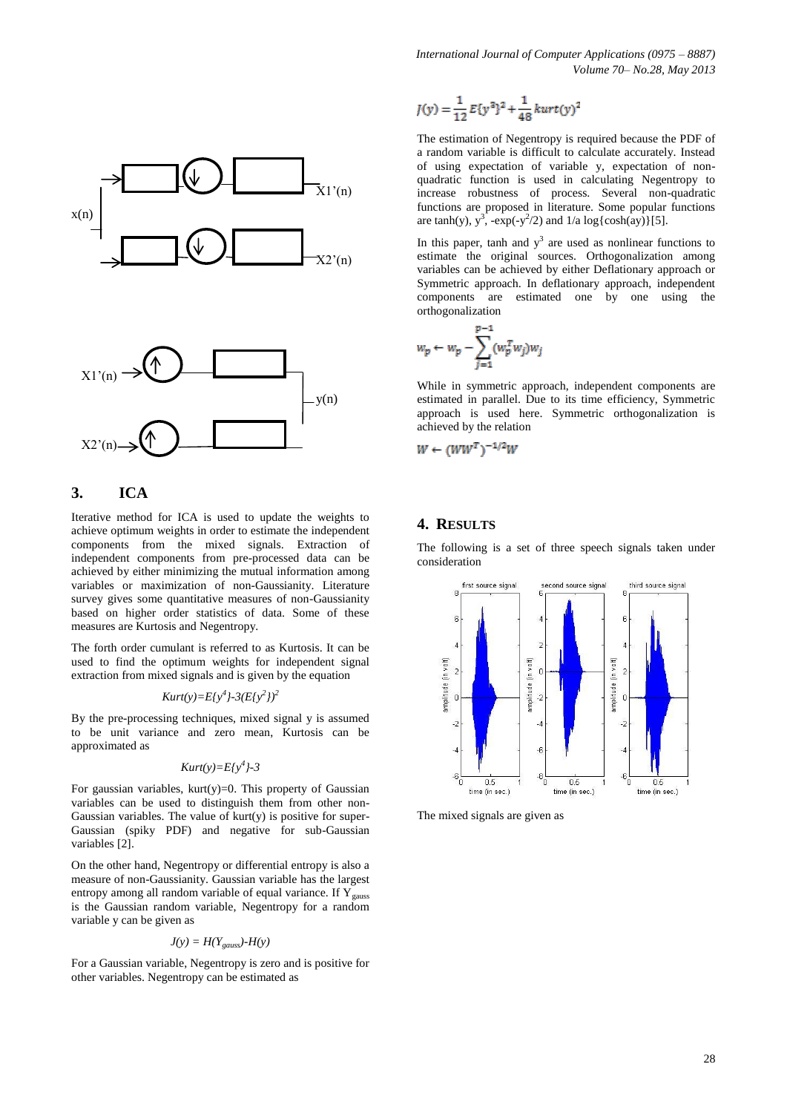*International Journal of Computer Applications (0975 – 8887) Volume 70– No.28, May 2013*



## **3. ICA**

Iterative method for ICA is used to update the weights to achieve optimum weights in order to estimate the independent components from the mixed signals. Extraction of independent components from pre-processed data can be achieved by either minimizing the mutual information among variables or maximization of non-Gaussianity. Literature survey gives some quantitative measures of non-Gaussianity based on higher order statistics of data. Some of these measures are Kurtosis and Negentropy.

The forth order cumulant is referred to as Kurtosis. It can be used to find the optimum weights for independent signal extraction from mixed signals and is given by the equation

$$
Kurt(y)=E\{y^4\}-3(E\{y^2\})^2
$$

By the pre-processing techniques, mixed signal y is assumed to be unit variance and zero mean, Kurtosis can be approximated as

$$
Kurt(y)=E\{y^4\}-3
$$

For gaussian variables, kurt(y)=0. This property of Gaussian variables can be used to distinguish them from other non-Gaussian variables. The value of  $kurt(v)$  is positive for super-Gaussian (spiky PDF) and negative for sub-Gaussian variables [2].

On the other hand, Negentropy or differential entropy is also a measure of non-Gaussianity. Gaussian variable has the largest entropy among all random variable of equal variance. If  $Y_{gauss}$ is the Gaussian random variable, Negentropy for a random variable y can be given as

$$
J(y) = H(Y_{gauss}) - H(y)
$$

For a Gaussian variable, Negentropy is zero and is positive for other variables. Negentropy can be estimated as

$$
J(y) = \frac{1}{12} E{y^2}^2 + \frac{1}{48} kurt(y)^2
$$

The estimation of Negentropy is required because the PDF of a random variable is difficult to calculate accurately. Instead of using expectation of variable y, expectation of nonquadratic function is used in calculating Negentropy to increase robustness of process. Several non-quadratic functions are proposed in literature. Some popular functions are tanh(y),  $y^3$ ,  $-\exp(-y^2/2)$  and  $1/a \log{\cosh(ay)}[5]$ .

In this paper, tanh and  $y^3$  are used as nonlinear functions to estimate the original sources. Orthogonalization among variables can be achieved by either Deflationary approach or Symmetric approach. In deflationary approach, independent components are estimated one by one using the orthogonalization

$$
w_p \leftarrow w_p - \sum_{j=1}^{p-1} (w_p^T w_j) w_j
$$

While in symmetric approach, independent components are estimated in parallel. Due to its time efficiency, Symmetric approach is used here. Symmetric orthogonalization is achieved by the relation

$$
W \leftarrow (WW^T)^{-1/2}W
$$

#### **4. RESULTS**

The following is a set of three speech signals taken under consideration



The mixed signals are given as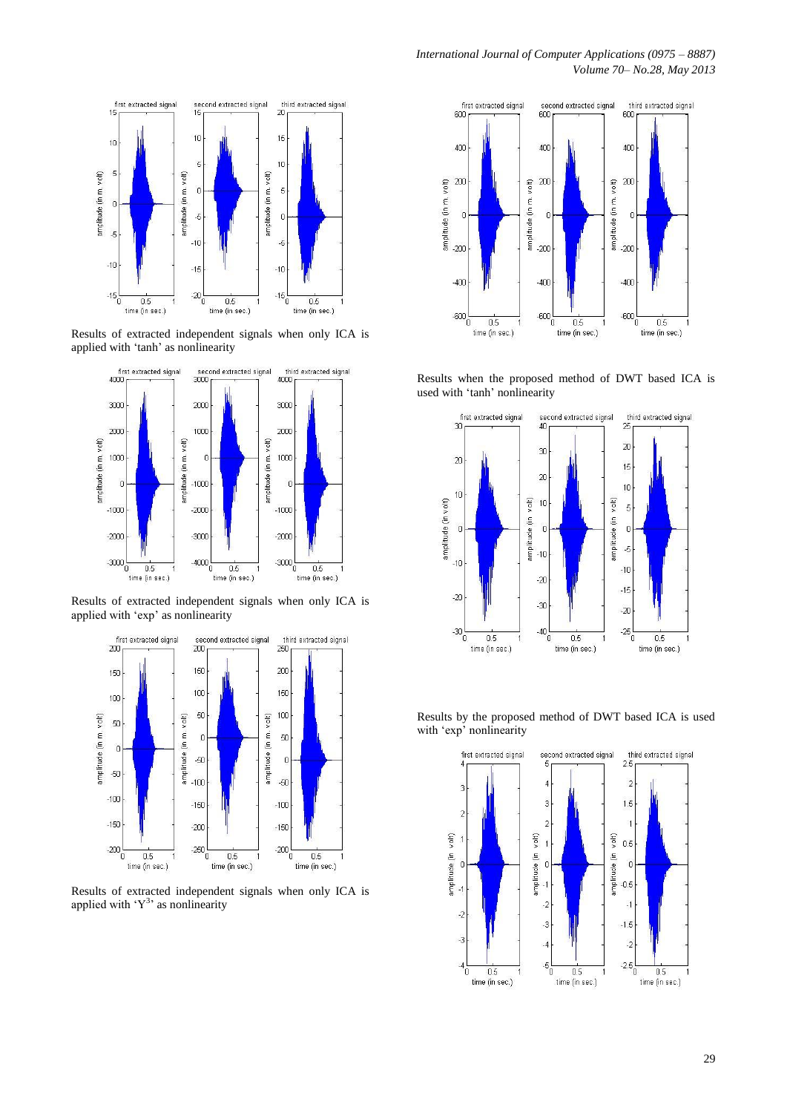

Results of extracted independent signals when only ICA is applied with 'tanh' as nonlinearity



Results of extracted independent signals when only ICA is applied with 'exp' as nonlinearity



Results of extracted independent signals when only ICA is applied with  $Y^3$  as nonlinearity



Results when the proposed method of DWT based ICA is used with 'tanh' nonlinearity



Results by the proposed method of DWT based ICA is used with 'exp' nonlinearity

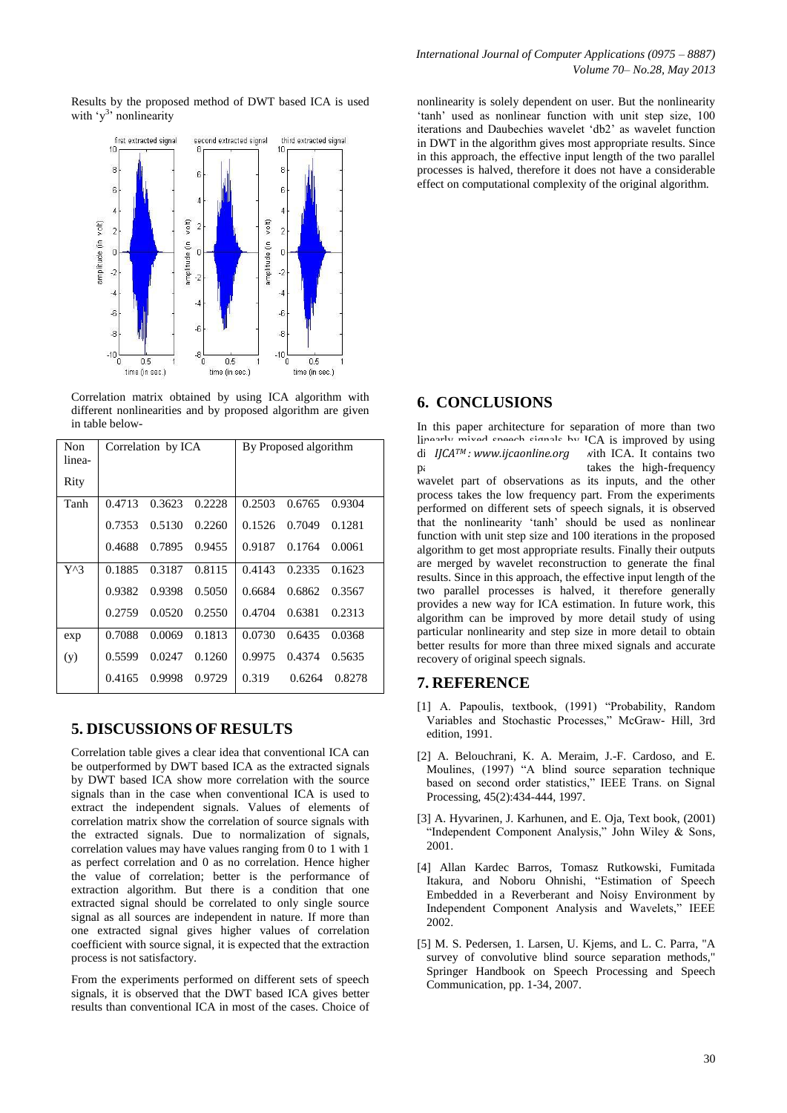Results by the proposed method of DWT based ICA is used with 'y<sup>3</sup>' nonlinearity



Correlation matrix obtained by using ICA algorithm with different nonlinearities and by proposed algorithm are given in table below-

| Non           | Correlation by ICA |        |        | By Proposed algorithm |        |        |
|---------------|--------------------|--------|--------|-----------------------|--------|--------|
| linea-        |                    |        |        |                       |        |        |
| Rity          |                    |        |        |                       |        |        |
| Tanh          | 0.4713             | 0.3623 | 0.2228 | 0.2503                | 0.6765 | 0.9304 |
|               | 0.7353             | 0.5130 | 0.2260 | 0.1526                | 0.7049 | 0.1281 |
|               | 0.4688             | 0.7895 | 0.9455 | 0.9187                | 0.1764 | 0.0061 |
| $Y^{\wedge}3$ | 0.1885             | 0.3187 | 0.8115 | 0.4143                | 0.2335 | 0.1623 |
|               | 0.9382             | 0.9398 | 0.5050 | 0.6684                | 0.6862 | 0.3567 |
|               | 0.2759             | 0.0520 | 0.2550 | 0.4704                | 0.6381 | 0.2313 |
| exp           | 0.7088             | 0.0069 | 0.1813 | 0.0730                | 0.6435 | 0.0368 |
| (y)           | 0.5599             | 0.0247 | 0.1260 | 0.9975                | 0.4374 | 0.5635 |
|               | 0.4165             | 0.9998 | 0.9729 | 0.319                 | 0.6264 | 0.8278 |

# **5. DISCUSSIONS OF RESULTS**

Correlation table gives a clear idea that conventional ICA can be outperformed by DWT based ICA as the extracted signals by DWT based ICA show more correlation with the source signals than in the case when conventional ICA is used to extract the independent signals. Values of elements of correlation matrix show the correlation of source signals with the extracted signals. Due to normalization of signals, correlation values may have values ranging from 0 to 1 with 1 as perfect correlation and 0 as no correlation. Hence higher the value of correlation; better is the performance of extraction algorithm. But there is a condition that one extracted signal should be correlated to only single source signal as all sources are independent in nature. If more than one extracted signal gives higher values of correlation coefficient with source signal, it is expected that the extraction process is not satisfactory.

From the experiments performed on different sets of speech signals, it is observed that the DWT based ICA gives better results than conventional ICA in most of the cases. Choice of

nonlinearity is solely dependent on user. But the nonlinearity 'tanh' used as nonlinear function with unit step size, 100 iterations and Daubechies wavelet 'db2' as wavelet function in DWT in the algorithm gives most appropriate results. Since in this approach, the effective input length of the two parallel processes is halved, therefore it does not have a considerable effect on computational complexity of the original algorithm.

# **6. CONCLUSIONS**

In this paper architecture for separation of more than two  $\lim_{x \to \infty}$  mixed speech signals by  $\overline{C}$  ICA is improved by using di *IJCA<sup>TM</sup>: www.ijcaonline.org* with ICA. It contains two parallel processes takes the high-frequency wavelet part of observations as its inputs, and the other process takes the low frequency part. From the experiments performed on different sets of speech signals, it is observed that the nonlinearity 'tanh' should be used as nonlinear function with unit step size and 100 iterations in the proposed algorithm to get most appropriate results. Finally their outputs are merged by wavelet reconstruction to generate the final results. Since in this approach, the effective input length of the two parallel processes is halved, it therefore generally provides a new way for ICA estimation. In future work, this algorithm can be improved by more detail study of using particular nonlinearity and step size in more detail to obtain better results for more than three mixed signals and accurate recovery of original speech signals.

# **7. REFERENCE**

- [1] A. Papoulis, textbook, (1991) "Probability, Random Variables and Stochastic Processes," McGraw- Hill, 3rd edition, 1991.
- [2] A. Belouchrani, K. A. Meraim, J.-F. Cardoso, and E. Moulines, (1997) "A blind source separation technique based on second order statistics," IEEE Trans. on Signal Processing, 45(2):434-444, 1997.
- [3] A. Hyvarinen, J. Karhunen, and E. Oja, Text book, (2001) "Independent Component Analysis," John Wiley & Sons, 2001.
- [4] Allan Kardec Barros, Tomasz Rutkowski, Fumitada Itakura, and Noboru Ohnishi, "Estimation of Speech Embedded in a Reverberant and Noisy Environment by Independent Component Analysis and Wavelets," IEEE 2002.
- [5] M. S. Pedersen, 1. Larsen, U. Kjems, and L. C. Parra, "A survey of convolutive blind source separation methods," Springer Handbook on Speech Processing and Speech Communication, pp. 1-34, 2007.